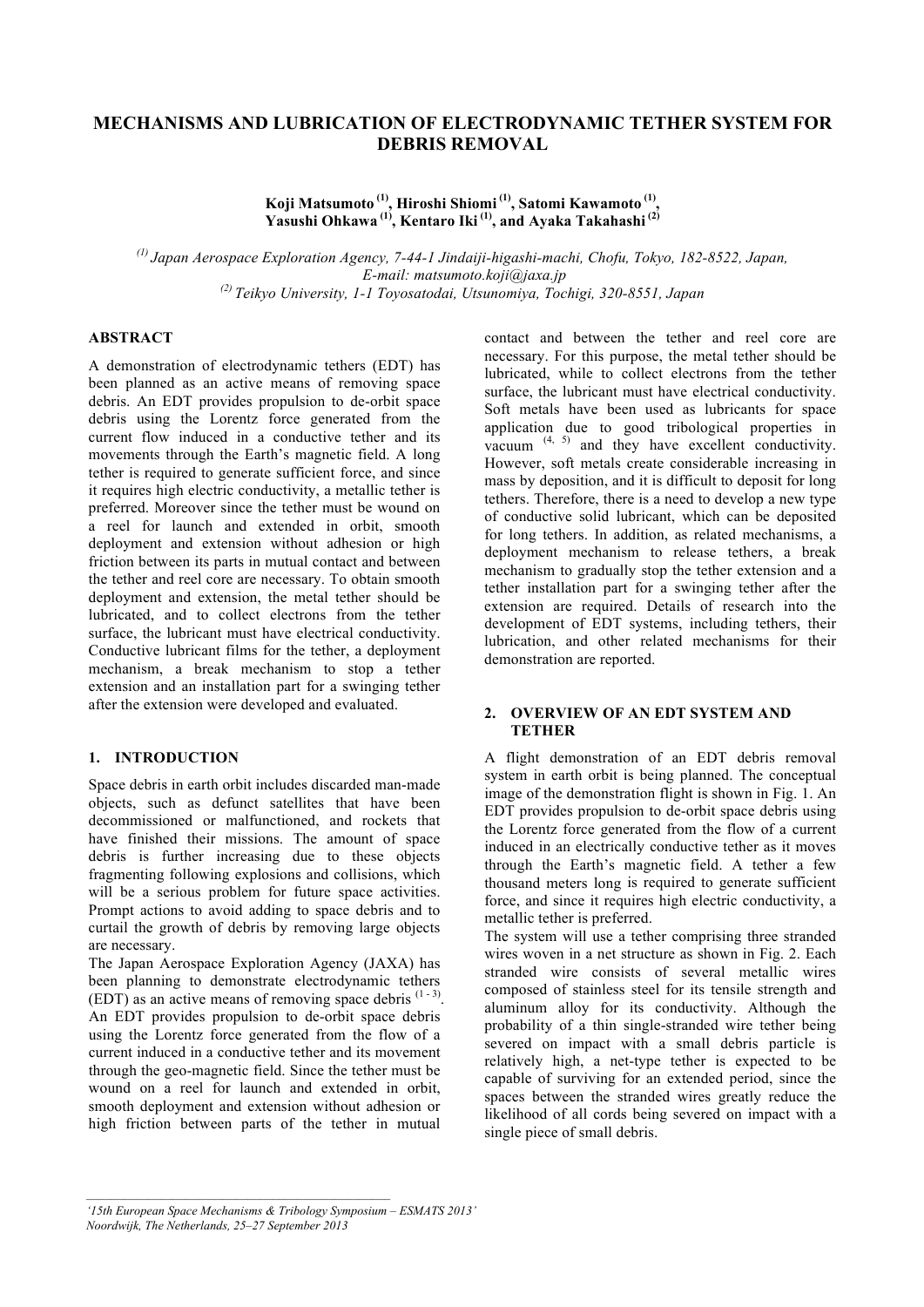# **MECHANISMS AND LUBRICATION OF ELECTRODYNAMIC TETHER SYSTEM FOR DEBRIS REMOVAL**

**Koji Matsumoto (1), Hiroshi Shiomi (1), Satomi Kawamoto (1), Yasushi Ohkawa (1), Kentaro Iki (1), and Ayaka Takahashi (2)**

*(1) Japan Aerospace Exploration Agency, 7-44-1 Jindaiji-higashi-machi, Chofu, Tokyo, 182-8522, Japan, E-mail: matsumoto.koji@jaxa.jp (2) Teikyo University, 1-1 Toyosatodai, Utsunomiya, Tochigi, 320-8551, Japan*

## **ABSTRACT**

A demonstration of electrodynamic tethers (EDT) has been planned as an active means of removing space debris. An EDT provides propulsion to de-orbit space debris using the Lorentz force generated from the current flow induced in a conductive tether and its movements through the Earth's magnetic field. A long tether is required to generate sufficient force, and since it requires high electric conductivity, a metallic tether is preferred. Moreover since the tether must be wound on a reel for launch and extended in orbit, smooth deployment and extension without adhesion or high friction between its parts in mutual contact and between the tether and reel core are necessary. To obtain smooth deployment and extension, the metal tether should be lubricated, and to collect electrons from the tether surface, the lubricant must have electrical conductivity. Conductive lubricant films for the tether, a deployment mechanism, a break mechanism to stop a tether extension and an installation part for a swinging tether after the extension were developed and evaluated.

## **1. INTRODUCTION**

Space debris in earth orbit includes discarded man-made objects, such as defunct satellites that have been decommissioned or malfunctioned, and rockets that have finished their missions. The amount of space debris is further increasing due to these objects fragmenting following explosions and collisions, which will be a serious problem for future space activities. Prompt actions to avoid adding to space debris and to curtail the growth of debris by removing large objects are necessary.

The Japan Aerospace Exploration Agency (JAXA) has been planning to demonstrate electrodynamic tethers (EDT) as an active means of removing space debris  $(1-3)$ . An EDT provides propulsion to de-orbit space debris using the Lorentz force generated from the flow of a current induced in a conductive tether and its movement through the geo-magnetic field. Since the tether must be wound on a reel for launch and extended in orbit, smooth deployment and extension without adhesion or high friction between parts of the tether in mutual

contact and between the tether and reel core are necessary. For this purpose, the metal tether should be lubricated, while to collect electrons from the tether surface, the lubricant must have electrical conductivity. Soft metals have been used as lubricants for space application due to good tribological properties in vacuum  $(4, 5)$  and they have excellent conductivity. However, soft metals create considerable increasing in mass by deposition, and it is difficult to deposit for long tethers. Therefore, there is a need to develop a new type of conductive solid lubricant, which can be deposited for long tethers. In addition, as related mechanisms, a deployment mechanism to release tethers, a break mechanism to gradually stop the tether extension and a tether installation part for a swinging tether after the extension are required. Details of research into the development of EDT systems, including tethers, their lubrication, and other related mechanisms for their demonstration are reported.

## **2. OVERVIEW OF AN EDT SYSTEM AND TETHER**

A flight demonstration of an EDT debris removal system in earth orbit is being planned. The conceptual image of the demonstration flight is shown in Fig. 1. An EDT provides propulsion to de-orbit space debris using the Lorentz force generated from the flow of a current induced in an electrically conductive tether as it moves through the Earth's magnetic field. A tether a few thousand meters long is required to generate sufficient force, and since it requires high electric conductivity, a metallic tether is preferred.

The system will use a tether comprising three stranded wires woven in a net structure as shown in Fig. 2. Each stranded wire consists of several metallic wires composed of stainless steel for its tensile strength and aluminum alloy for its conductivity. Although the probability of a thin single-stranded wire tether being severed on impact with a small debris particle is relatively high, a net-type tether is expected to be capable of surviving for an extended period, since the spaces between the stranded wires greatly reduce the likelihood of all cords being severed on impact with a single piece of small debris.

*<sup>&#</sup>x27;15th European Space Mechanisms & Tribology Symposium – ESMATS 2013'* 

*Noordwijk, The Netherlands, 25–27 September 2013*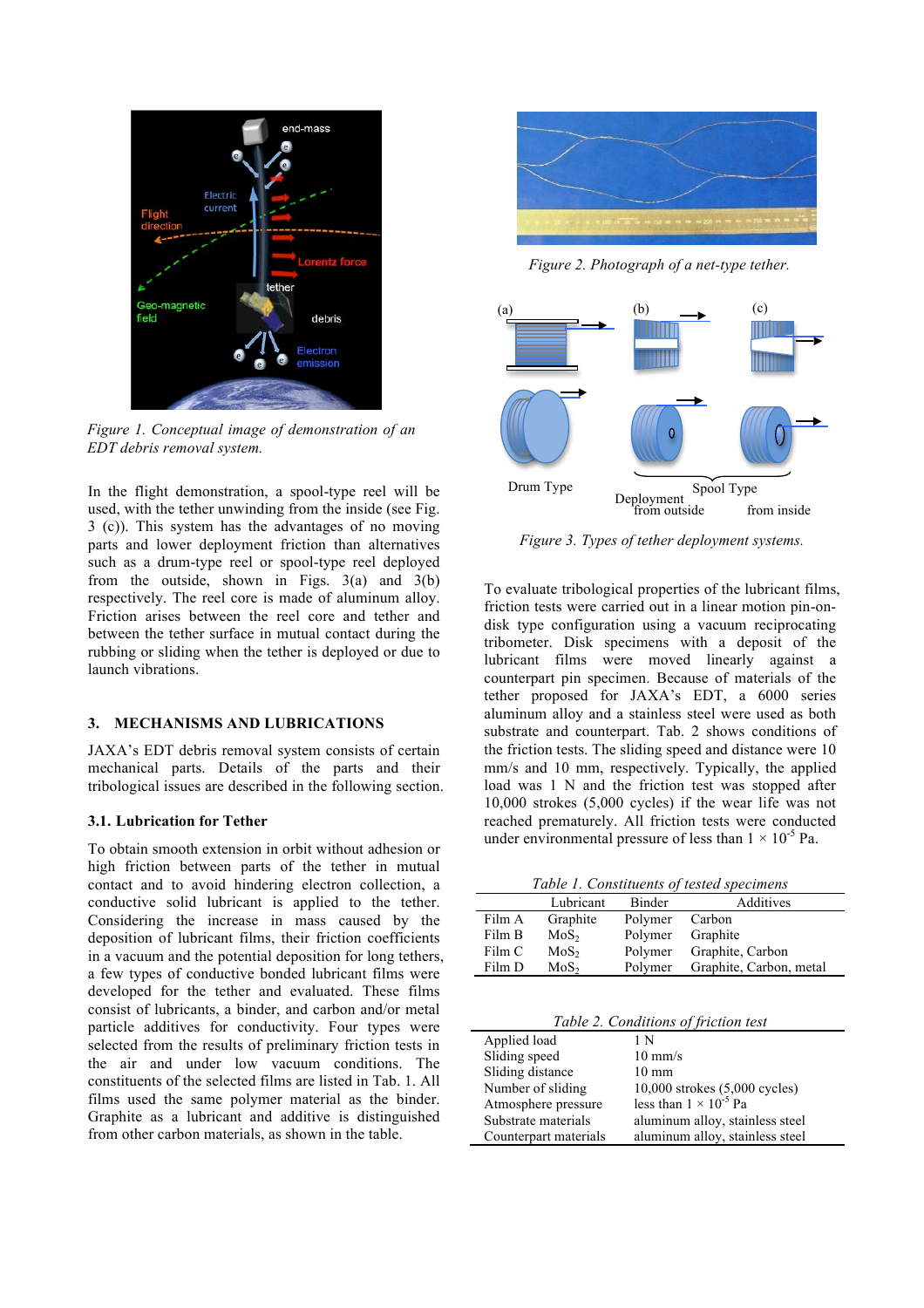

*Figure 1. Conceptual image of demonstration of an EDT debris removal system.* 

In the flight demonstration, a spool-type reel will be used, with the tether unwinding from the inside (see Fig. 3 (c)). This system has the advantages of no moving parts and lower deployment friction than alternatives such as a drum-type reel or spool-type reel deployed from the outside, shown in Figs.  $3(a)$  and  $3(b)$ respectively. The reel core is made of aluminum alloy. Friction arises between the reel core and tether and between the tether surface in mutual contact during the rubbing or sliding when the tether is deployed or due to launch vibrations.

## **3. MECHANISMS AND LUBRICATIONS**

JAXA's EDT debris removal system consists of certain mechanical parts. Details of the parts and their tribological issues are described in the following section.

## **3.1. Lubrication for Tether**

To obtain smooth extension in orbit without adhesion or high friction between parts of the tether in mutual contact and to avoid hindering electron collection, a conductive solid lubricant is applied to the tether. Considering the increase in mass caused by the deposition of lubricant films, their friction coefficients in a vacuum and the potential deposition for long tethers, a few types of conductive bonded lubricant films were developed for the tether and evaluated. These films consist of lubricants, a binder, and carbon and/or metal particle additives for conductivity. Four types were selected from the results of preliminary friction tests in the air and under low vacuum conditions. The constituents of the selected films are listed in Tab. 1. All films used the same polymer material as the binder. Graphite as a lubricant and additive is distinguished from other carbon materials, as shown in the table.



*Figure 2. Photograph of a net-type tether.*



*Figure 3. Types of tether deployment systems.*

To evaluate tribological properties of the lubricant films, friction tests were carried out in a linear motion pin-ondisk type configuration using a vacuum reciprocating tribometer. Disk specimens with a deposit of the lubricant films were moved linearly against a counterpart pin specimen. Because of materials of the tether proposed for JAXA's EDT, a 6000 series aluminum alloy and a stainless steel were used as both substrate and counterpart. Tab. 2 shows conditions of the friction tests. The sliding speed and distance were 10 mm/s and 10 mm, respectively. Typically, the applied load was 1 N and the friction test was stopped after 10,000 strokes (5,000 cycles) if the wear life was not reached prematurely. All friction tests were conducted under environmental pressure of less than  $1 \times 10^{-5}$  Pa.

*Table 1. Constituents of tested specimens*

|        | Lubricant        | Binder  | Additives               |
|--------|------------------|---------|-------------------------|
| Film A | Graphite         | Polymer | Carbon                  |
| Film B | MoS <sub>2</sub> | Polymer | Graphite                |
| Film C | MoS <sub>2</sub> | Polymer | Graphite, Carbon        |
| Film D | MoS <sub>2</sub> | Polymer | Graphite, Carbon, metal |
|        |                  |         |                         |

*Table 2. Conditions of friction test* 

| Applied load          | 1 N                             |
|-----------------------|---------------------------------|
| Sliding speed         | $10 \text{ mm/s}$               |
| Sliding distance      | $10 \text{ mm}$                 |
| Number of sliding     | 10,000 strokes (5,000 cycles)   |
| Atmosphere pressure   | less than $1 \times 10^{-5}$ Pa |
| Substrate materials   | aluminum alloy, stainless steel |
| Counterpart materials | aluminum alloy, stainless steel |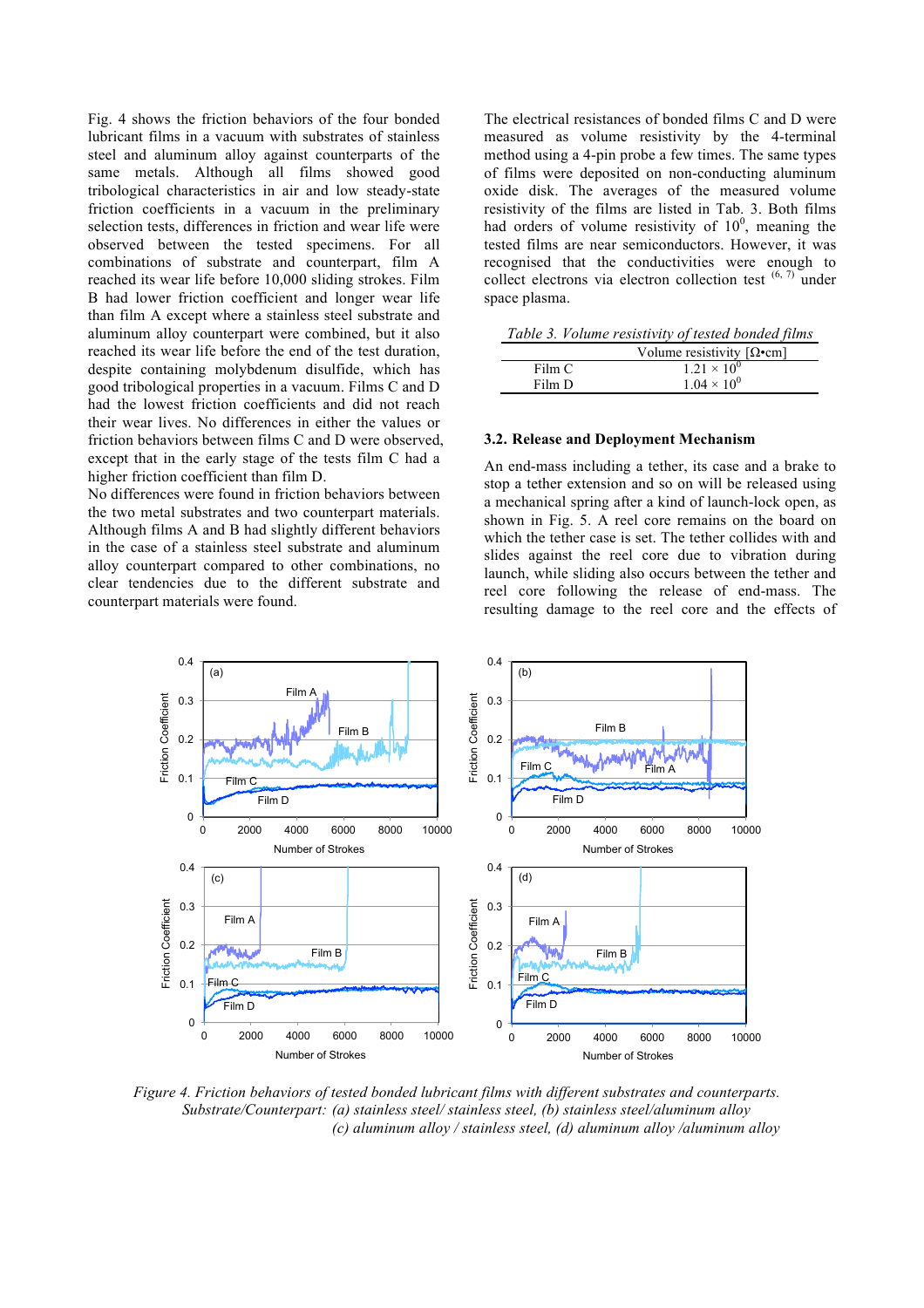Fig. 4 shows the friction behaviors of the four bonded lubricant films in a vacuum with substrates of stainless steel and aluminum alloy against counterparts of the same metals. Although all films showed good tribological characteristics in air and low steady-state friction coefficients in a vacuum in the preliminary selection tests, differences in friction and wear life were observed between the tested specimens. For all combinations of substrate and counterpart, film A reached its wear life before 10,000 sliding strokes. Film B had lower friction coefficient and longer wear life than film A except where a stainless steel substrate and aluminum alloy counterpart were combined, but it also reached its wear life before the end of the test duration, despite containing molybdenum disulfide, which has good tribological properties in a vacuum. Films C and D had the lowest friction coefficients and did not reach their wear lives. No differences in either the values or friction behaviors between films C and D were observed, except that in the early stage of the tests film C had a higher friction coefficient than film D.

No differences were found in friction behaviors between the two metal substrates and two counterpart materials. Although films A and B had slightly different behaviors in the case of a stainless steel substrate and aluminum alloy counterpart compared to other combinations, no clear tendencies due to the different substrate and counterpart materials were found.

The electrical resistances of bonded films C and D were measured as volume resistivity by the 4-terminal method using a 4-pin probe a few times. The same types of films were deposited on non-conducting aluminum oxide disk. The averages of the measured volume resistivity of the films are listed in Tab. 3. Both films had orders of volume resistivity of  $10<sup>0</sup>$ , meaning the tested films are near semiconductors. However, it was recognised that the conductivities were enough to collect electrons via electron collection test  $(6, 7)$  under space plasma.

|        | Table 3. Volume resistivity of tested bonded films |
|--------|----------------------------------------------------|
|        | Volume resistivity $[\Omega \bullet cm]$           |
| Film C | $1.21 \times 10^{0}$                               |

### **3.2. Release and Deployment Mechanism**

Film D  $1.04 \times 10^0$ 

An end-mass including a tether, its case and a brake to stop a tether extension and so on will be released using a mechanical spring after a kind of launch-lock open, as shown in Fig. 5. A reel core remains on the board on which the tether case is set. The tether collides with and slides against the reel core due to vibration during launch, while sliding also occurs between the tether and reel core following the release of end-mass. The resulting damage to the reel core and the effects of



*Figure 4. Friction behaviors of tested bonded lubricant films with different substrates and counterparts. Substrate/Counterpart: (a) stainless steel/ stainless steel, (b) stainless steel/aluminum alloy (c) aluminum alloy / stainless steel, (d) aluminum alloy /aluminum alloy*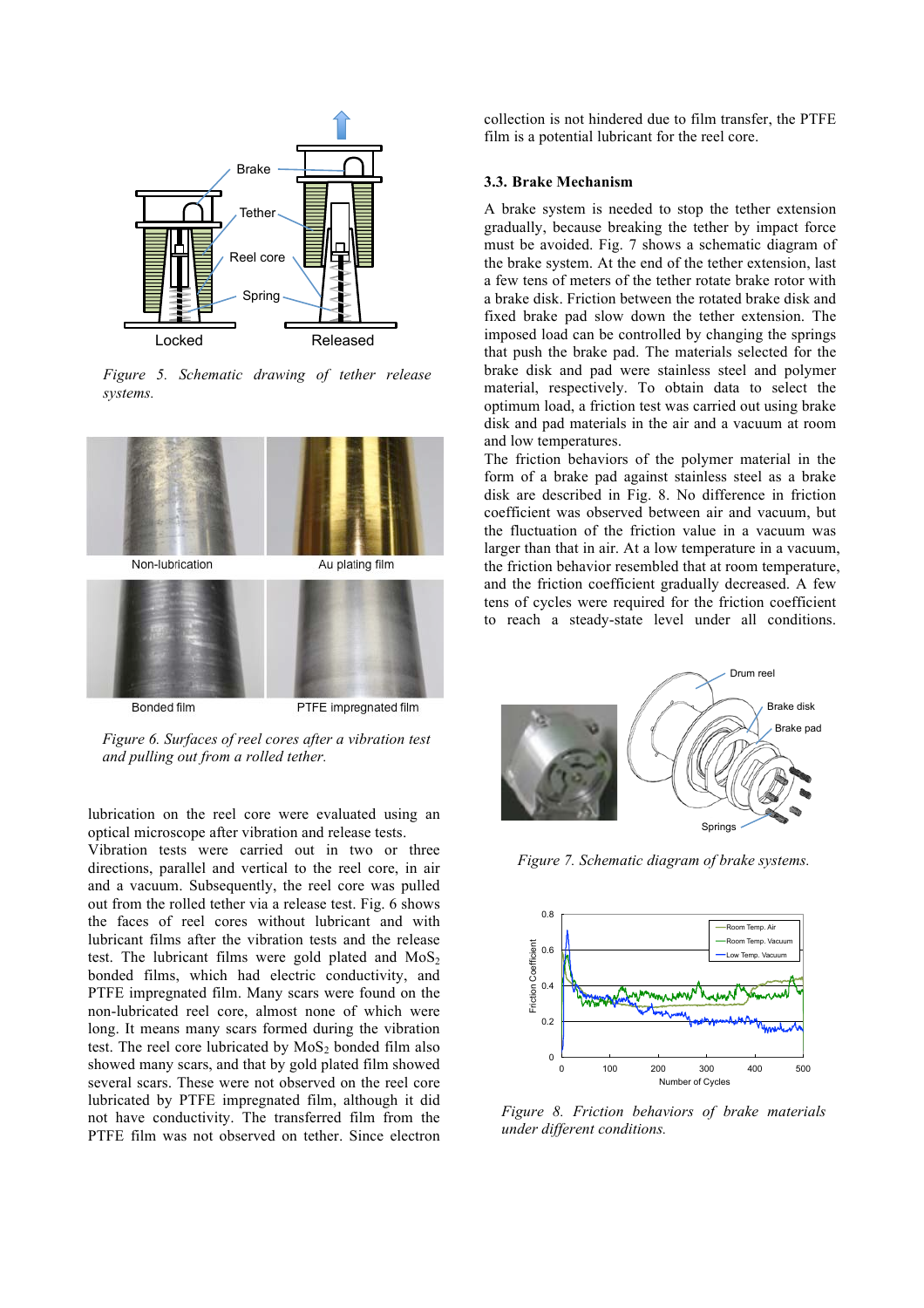

*Figure 5. Schematic drawing of tether release systems.*



*Figure 6. Surfaces of reel cores after a vibration test and pulling out from a rolled tether.* 

lubrication on the reel core were evaluated using an optical microscope after vibration and release tests.

Vibration tests were carried out in two or three directions, parallel and vertical to the reel core, in air and a vacuum. Subsequently, the reel core was pulled out from the rolled tether via a release test. Fig. 6 shows the faces of reel cores without lubricant and with lubricant films after the vibration tests and the release test. The lubricant films were gold plated and  $MoS<sub>2</sub>$ bonded films, which had electric conductivity, and PTFE impregnated film. Many scars were found on the non-lubricated reel core, almost none of which were long. It means many scars formed during the vibration test. The reel core lubricated by  $MoS<sub>2</sub>$  bonded film also showed many scars, and that by gold plated film showed several scars. These were not observed on the reel core lubricated by PTFE impregnated film, although it did not have conductivity. The transferred film from the PTFE film was not observed on tether. Since electron collection is not hindered due to film transfer, the PTFE film is a potential lubricant for the reel core.

#### **3.3. Brake Mechanism**

A brake system is needed to stop the tether extension gradually, because breaking the tether by impact force must be avoided. Fig. 7 shows a schematic diagram of the brake system. At the end of the tether extension, last a few tens of meters of the tether rotate brake rotor with a brake disk. Friction between the rotated brake disk and fixed brake pad slow down the tether extension. The imposed load can be controlled by changing the springs that push the brake pad. The materials selected for the brake disk and pad were stainless steel and polymer material, respectively. To obtain data to select the optimum load, a friction test was carried out using brake disk and pad materials in the air and a vacuum at room and low temperatures.

The friction behaviors of the polymer material in the form of a brake pad against stainless steel as a brake disk are described in Fig. 8. No difference in friction coefficient was observed between air and vacuum, but the fluctuation of the friction value in a vacuum was larger than that in air. At a low temperature in a vacuum, the friction behavior resembled that at room temperature, and the friction coefficient gradually decreased. A few tens of cycles were required for the friction coefficient to reach a steady-state level under all conditions.



*Figure 7. Schematic diagram of brake systems.*



*Figure 8. Friction behaviors of brake materials under different conditions.*